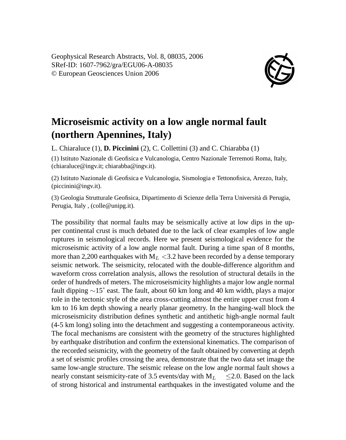Geophysical Research Abstracts, Vol. 8, 08035, 2006 SRef-ID: 1607-7962/gra/EGU06-A-08035 © European Geosciences Union 2006



## **Microseismic activity on a low angle normal fault (northern Apennines, Italy)**

L. Chiaraluce (1), **D. Piccinini** (2), C. Collettini (3) and C. Chiarabba (1)

(1) Istituto Nazionale di Geofisica e Vulcanologia, Centro Nazionale Terremoti Roma, Italy, (chiaraluce@ingv.it; chiarabba@ingv.it).

(2) Istituto Nazionale di Geofisica e Vulcanologia, Sismologia e Tettonofisica, Arezzo, Italy, (piccinini@ingv.it).

(3) Geologia Strutturale Geofisica, Dipartimento di Scienze della Terra Università di Perugia, Perugia, Italy , (colle@unipg.it).

The possibility that normal faults may be seismically active at low dips in the upper continental crust is much debated due to the lack of clear examples of low angle ruptures in seismological records. Here we present seismological evidence for the microseismic activity of a low angle normal fault. During a time span of 8 months, more than 2,200 earthquakes with  $M_L < 3.2$  have been recorded by a dense temporary seismic network. The seismicity, relocated with the double-difference algorithm and waveform cross correlation analysis, allows the resolution of structural details in the order of hundreds of meters. The microseismicity highlights a major low angle normal fault dipping ∼15˚ east. The fault, about 60 km long and 40 km width, plays a major role in the tectonic style of the area cross-cutting almost the entire upper crust from 4 km to 16 km depth showing a nearly planar geometry. In the hanging-wall block the microseismicity distribution defines synthetic and antithetic high-angle normal fault (4-5 km long) soling into the detachment and suggesting a contemporaneous activity. The focal mechanisms are consistent with the geometry of the structures highlighted by earthquake distribution and confirm the extensional kinematics. The comparison of the recorded seismicity, with the geometry of the fault obtained by converting at depth a set of seismic profiles crossing the area, demonstrate that the two data set image the same low-angle structure. The seismic release on the low angle normal fault shows a nearly constant seismicity-rate of 3.5 events/day with  $M_L \leq 2.0$ . Based on the lack of strong historical and instrumental earthquakes in the investigated volume and the